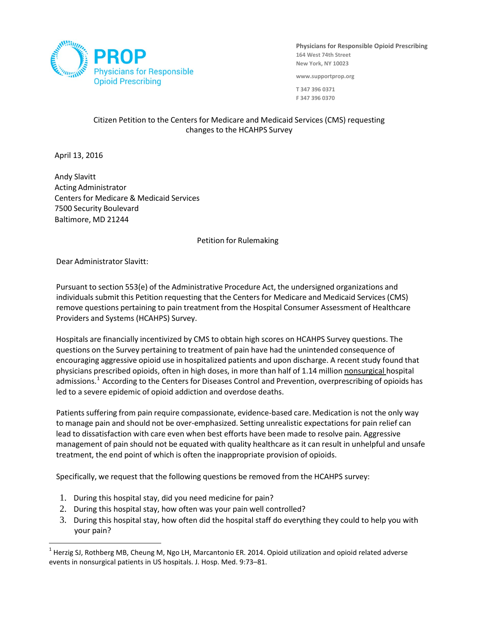

**Physicians for Responsible Opioid Prescribing 164 West 74th Street New York, NY 10023**

**www.supportprop.org**

**T 347 396 0371 F 347 396 0370**

## Citizen Petition to the Centers for Medicare and Medicaid Services (CMS) requesting changes to the HCAHPS Survey

April 13, 2016

l

 Andy Slavitt Acting Administrator Centers for Medicare & Medicaid Services 7500 Security Boulevard Baltimore, MD 21244

Petition for Rulemaking

Dear Administrator Slavitt:

Pursuant to section 553(e) of the Administrative Procedure Act, the undersigned organizations and individuals submit this Petition requesting that the Centers for Medicare and Medicaid Services (CMS) remove questions pertaining to pain treatment from the Hospital Consumer Assessment of Healthcare Providers and Systems (HCAHPS) Survey.

Hospitals are financially incentivized by CMS to obtain high scores on HCAHPS Survey questions. The questions on the Survey pertaining to treatment of pain have had the unintended consequence of encouraging aggressive opioid use in hospitalized patients and upon discharge. A recent study found that physicians prescribed opioids, often in high doses, in more than half of 1.14 million nonsurgical hospital admissions. $^1$  $^1$  According to the Centers for Diseases Control and Prevention, overprescribing of opioids has led to a severe epidemic of opioid addiction and overdose deaths.

Patients suffering from pain require compassionate, evidence-based care. Medication is not the only way to manage pain and should not be over-emphasized. Setting unrealistic expectations for pain relief can lead to dissatisfaction with care even when best efforts have been made to resolve pain. Aggressive management of pain should not be equated with quality healthcare as it can result in unhelpful and unsafe treatment, the end point of which is often the inappropriate provision of opioids.

Specifically, we request that the following questions be removed from the HCAHPS survey:

- 1. During this hospital stay, did you need medicine for pain?
- 2. During this hospital stay, how often was your pain well controlled?
- 3. During this hospital stay, how often did the hospital staff do everything they could to help you with your pain?

<span id="page-0-0"></span> $1$  Herzig SJ, Rothberg MB, Cheung M, Ngo LH, Marcantonio ER. 2014. Opioid utilization and opioid related adverse events in nonsurgical patients in US hospitals. J. Hosp. Med. 9:73–81.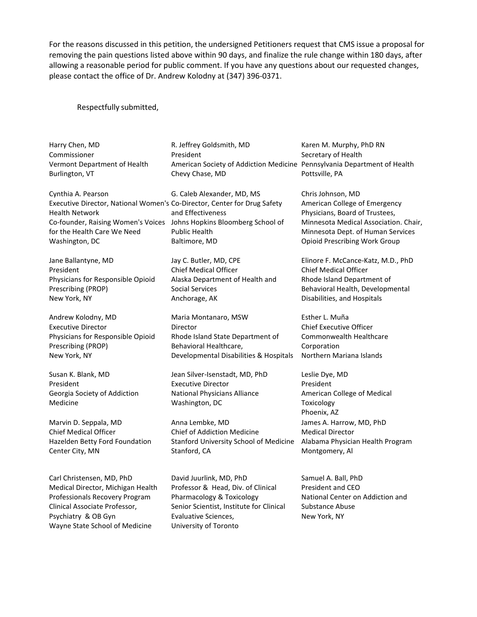For the reasons discussed in this petition, the undersigned Petitioners request that CMS issue a proposal for removing the pain questions listed above within 90 days, and finalize the rule change within 180 days, after allowing a reasonable period for public comment. If you have any questions about our requested changes, please contact the office of Dr. Andrew Kolodny at (347) 396-0371.

## Respectfully submitted,

Harry Chen, MD Commissioner Vermont Department of Health Burlington, VT

Cynthia A. Pearson Executive Director, National Women's Co-Director, Center for Drug Safety Health Network Co-founder, Raising Women's Voices for the Health Care We Need Washington, DC

Jane Ballantyne, MD President Physicians for Responsible Opioid Prescribing (PROP) New York, NY

Andrew Kolodny, MD Executive Director Physicians for Responsible Opioid Prescribing (PROP) New York, NY

Susan K. Blank, MD President Georgia Society of Addiction Medicine

Marvin D. Seppala, MD Chief Medical Officer Hazelden Betty Ford Foundation Center City, MN

Carl Christensen, MD, PhD Medical Director, Michigan Health Professionals Recovery Program Clinical Associate Professor, Psychiatry & OB Gyn Wayne State School of Medicine

R. Jeffrey Goldsmith, MD President American Society of Addiction Medicine Pennsylvania Department of Health Chevy Chase, MD

G. Caleb Alexander, MD, MS and Effectiveness Johns Hopkins Bloomberg School of Public Health Baltimore, MD

Jay C. Butler, MD, CPE Chief Medical Officer Alaska Department of Health and Social Services Anchorage, AK

Maria Montanaro, MSW Director Rhode Island State Department of Behavioral Healthcare, Developmental Disabilities & Hospitals

Jean Silver-Isenstadt, MD, PhD Executive Director National Physicians Alliance Washington, DC

Anna Lembke, MD Chief of Addiction Medicine Stanford University School of Medicine Stanford, CA

David Juurlink, MD, PhD Professor & Head, Div. of Clinical Pharmacology & Toxicology Senior Scientist, Institute for Clinical Evaluative Sciences, University of Toronto

Karen M. Murphy, PhD RN Secretary of Health Pottsville, PA

Chris Johnson, MD American College of Emergency Physicians, Board of Trustees, Minnesota Medical Association. Chair, Minnesota Dept. of Human Services Opioid Prescribing Work Group

Elinore F. McCance-Katz, M.D., PhD Chief Medical Officer Rhode Island Department of Behavioral Health, Developmental Disabilities, and Hospitals

Esther L. Muña Chief Executive Officer Commonwealth Healthcare Corporation Northern Mariana Islands

Leslie Dye, MD President American College of Medical Toxicology Phoenix, AZ James A. Harrow, MD, PhD Medical Director Alabama Physician Health Program Montgomery, Al

Samuel A. Ball, PhD President and CEO National Center on Addiction and Substance Abuse New York, NY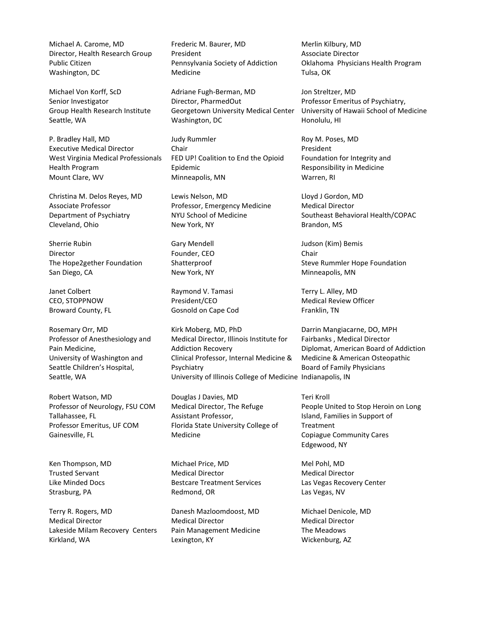Michael A. Carome, MD Director, Health Research Group Public Citizen Washington, DC

Michael Von Korff, ScD Senior Investigator Group Health Research Institute Seattle, WA

P. Bradley Hall, MD Executive Medical Director West Virginia Medical Professionals Health Program Mount Clare, WV

Christina M. Delos Reyes, MD Associate Professor Department of Psychiatry Cleveland, Ohio

Sherrie Rubin Director The Hope2gether Foundation San Diego, CA

Janet Colbert CEO, STOPPNOW Broward County, FL

Rosemary Orr, MD Professor of Anesthesiology and Pain Medicine, University of Washington and Seattle Children's Hospital, Seattle, WA

Robert Watson, MD Professor of Neurology, FSU COM Tallahassee, FL Professor Emeritus, UF COM Gainesville, FL

Ken Thompson, MD Trusted Servant Like Minded Docs Strasburg, PA

Terry R. Rogers, MD Medical Director Lakeside Milam Recovery Centers Kirkland, WA

Frederic M. Baurer, MD President Pennsylvania Society of Addiction Medicine

Adriane Fugh-Berman, MD Director, PharmedOut Georgetown University Medical Center Washington, DC

Judy Rummler Chair FED UP! Coalition to End the Opioid Epidemic Minneapolis, MN

Lewis Nelson, MD Professor, Emergency Medicine NYU School of Medicine New York, NY

Gary Mendell Founder, CEO Shatterproof New York, NY

Raymond V. Tamasi President/CEO Gosnold on Cape Cod

Kirk Moberg, MD, PhD Medical Director, Illinois Institute for Addiction Recovery Clinical Professor, Internal Medicine & Psychiatry University of Illinois College of Medicine Indianapolis, IN

Douglas J Davies, MD Medical Director, The Refuge Assistant Professor, Florida State University College of Medicine

Michael Price, MD Medical Director Bestcare Treatment Services Redmond, OR

Danesh Mazloomdoost, MD Medical Director Pain Management Medicine Lexington, KY

Merlin Kilbury, MD Associate Director Oklahoma Physicians Health Program Tulsa, OK

Jon Streltzer, MD Professor Emeritus of Psychiatry, University of Hawaii School of Medicine Honolulu, HI

Roy M. Poses, MD President Foundation for Integrity and Responsibility in Medicine Warren, RI

Lloyd J Gordon, MD Medical Director Southeast Behavioral Health/COPAC Brandon, MS

Judson (Kim) Bemis Chair Steve Rummler Hope Foundation Minneapolis, MN

Terry L. Alley, MD Medical Review Officer Franklin, TN

Darrin Mangiacarne, DO, MPH Fairbanks , Medical Director Diplomat, American Board of Addiction Medicine & American Osteopathic Board of Family Physicians

Teri Kroll People United to Stop Heroin on Long Island, Families in Support of Treatment Copiague Community Cares Edgewood, NY

Mel Pohl, MD Medical Director Las Vegas Recovery Center Las Vegas, NV

Michael Denicole, MD Medical Director The Meadows Wickenburg, AZ